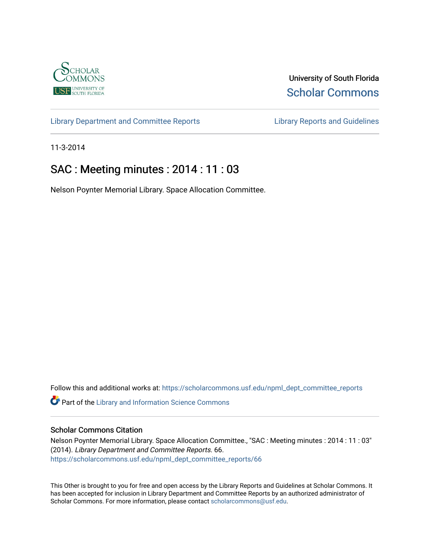

University of South Florida [Scholar Commons](https://scholarcommons.usf.edu/) 

[Library Department and Committee Reports](https://scholarcommons.usf.edu/npml_dept_committee_reports) [Library Reports and Guidelines](https://scholarcommons.usf.edu/npml_reports_guidelines_instruct_materials) 

11-3-2014

## SAC : Meeting minutes : 2014 : 11 : 03

Nelson Poynter Memorial Library. Space Allocation Committee.

Follow this and additional works at: [https://scholarcommons.usf.edu/npml\\_dept\\_committee\\_reports](https://scholarcommons.usf.edu/npml_dept_committee_reports?utm_source=scholarcommons.usf.edu%2Fnpml_dept_committee_reports%2F66&utm_medium=PDF&utm_campaign=PDFCoverPages)

Part of the [Library and Information Science Commons](http://network.bepress.com/hgg/discipline/1018?utm_source=scholarcommons.usf.edu%2Fnpml_dept_committee_reports%2F66&utm_medium=PDF&utm_campaign=PDFCoverPages) 

## Scholar Commons Citation

Nelson Poynter Memorial Library. Space Allocation Committee., "SAC : Meeting minutes : 2014 : 11 : 03" (2014). Library Department and Committee Reports. 66. [https://scholarcommons.usf.edu/npml\\_dept\\_committee\\_reports/66](https://scholarcommons.usf.edu/npml_dept_committee_reports/66?utm_source=scholarcommons.usf.edu%2Fnpml_dept_committee_reports%2F66&utm_medium=PDF&utm_campaign=PDFCoverPages) 

This Other is brought to you for free and open access by the Library Reports and Guidelines at Scholar Commons. It has been accepted for inclusion in Library Department and Committee Reports by an authorized administrator of Scholar Commons. For more information, please contact [scholarcommons@usf.edu](mailto:scholarcommons@usf.edu).